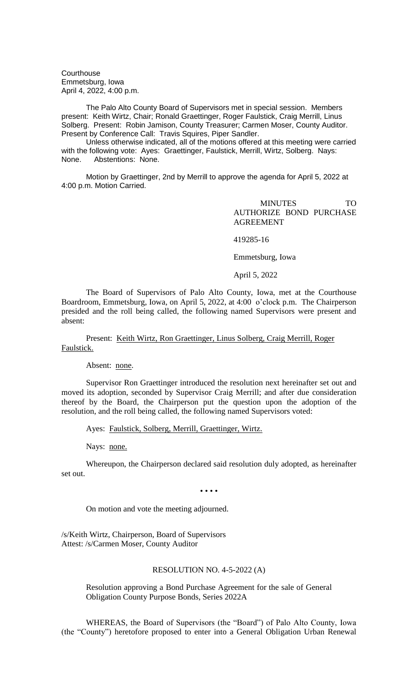**Courthouse** Emmetsburg, Iowa April 4, 2022, 4:00 p.m.

The Palo Alto County Board of Supervisors met in special session. Members present: Keith Wirtz, Chair; Ronald Graettinger, Roger Faulstick, Craig Merrill, Linus Solberg. Present: Robin Jamison, County Treasurer; Carmen Moser, County Auditor. Present by Conference Call: Travis Squires, Piper Sandler.

Unless otherwise indicated, all of the motions offered at this meeting were carried with the following vote: Ayes: Graettinger, Faulstick, Merrill, Wirtz, Solberg. Nays: None. Abstentions: None.

Motion by Graettinger, 2nd by Merrill to approve the agenda for April 5, 2022 at 4:00 p.m. Motion Carried.

> MINUTES TO AUTHORIZE BOND PURCHASE AGREEMENT

419285-16

Emmetsburg, Iowa

April 5, 2022

The Board of Supervisors of Palo Alto County, Iowa, met at the Courthouse Boardroom, Emmetsburg, Iowa, on April 5, 2022, at 4:00 o'clock p.m. The Chairperson presided and the roll being called, the following named Supervisors were present and absent:

Present: Keith Wirtz, Ron Graettinger, Linus Solberg, Craig Merrill, Roger Faulstick.

Absent: none.

Supervisor Ron Graettinger introduced the resolution next hereinafter set out and moved its adoption, seconded by Supervisor Craig Merrill; and after due consideration thereof by the Board, the Chairperson put the question upon the adoption of the resolution, and the roll being called, the following named Supervisors voted:

Ayes: Faulstick, Solberg, Merrill, Graettinger, Wirtz.

Nays: none.

Whereupon, the Chairperson declared said resolution duly adopted, as hereinafter set out.

• • • •

On motion and vote the meeting adjourned.

/s/Keith Wirtz, Chairperson, Board of Supervisors Attest: /s/Carmen Moser, County Auditor

## RESOLUTION NO. 4-5-2022 (A)

Resolution approving a Bond Purchase Agreement for the sale of General Obligation County Purpose Bonds, Series 2022A

WHEREAS, the Board of Supervisors (the "Board") of Palo Alto County, Iowa (the "County") heretofore proposed to enter into a General Obligation Urban Renewal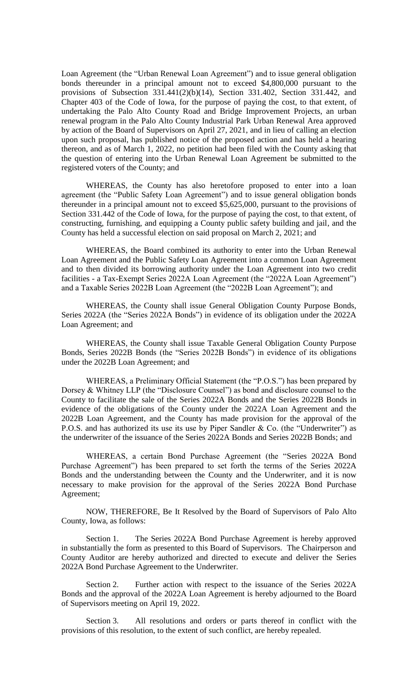Loan Agreement (the "Urban Renewal Loan Agreement") and to issue general obligation bonds thereunder in a principal amount not to exceed \$4,800,000 pursuant to the provisions of Subsection 331.441(2)(b)(14), Section 331.402, Section 331.442, and Chapter 403 of the Code of Iowa, for the purpose of paying the cost, to that extent, of undertaking the Palo Alto County Road and Bridge Improvement Projects, an urban renewal program in the Palo Alto County Industrial Park Urban Renewal Area approved by action of the Board of Supervisors on April 27, 2021, and in lieu of calling an election upon such proposal, has published notice of the proposed action and has held a hearing thereon, and as of March 1, 2022, no petition had been filed with the County asking that the question of entering into the Urban Renewal Loan Agreement be submitted to the registered voters of the County; and

WHEREAS, the County has also heretofore proposed to enter into a loan agreement (the "Public Safety Loan Agreement") and to issue general obligation bonds thereunder in a principal amount not to exceed \$5,625,000, pursuant to the provisions of Section 331.442 of the Code of Iowa, for the purpose of paying the cost, to that extent, of constructing, furnishing, and equipping a County public safety building and jail, and the County has held a successful election on said proposal on March 2, 2021; and

WHEREAS, the Board combined its authority to enter into the Urban Renewal Loan Agreement and the Public Safety Loan Agreement into a common Loan Agreement and to then divided its borrowing authority under the Loan Agreement into two credit facilities - a Tax-Exempt Series 2022A Loan Agreement (the "2022A Loan Agreement") and a Taxable Series 2022B Loan Agreement (the "2022B Loan Agreement"); and

WHEREAS, the County shall issue General Obligation County Purpose Bonds, Series 2022A (the "Series 2022A Bonds") in evidence of its obligation under the 2022A Loan Agreement; and

WHEREAS, the County shall issue Taxable General Obligation County Purpose Bonds, Series 2022B Bonds (the "Series 2022B Bonds") in evidence of its obligations under the 2022B Loan Agreement; and

WHEREAS, a Preliminary Official Statement (the "P.O.S.") has been prepared by Dorsey & Whitney LLP (the "Disclosure Counsel") as bond and disclosure counsel to the County to facilitate the sale of the Series 2022A Bonds and the Series 2022B Bonds in evidence of the obligations of the County under the 2022A Loan Agreement and the 2022B Loan Agreement, and the County has made provision for the approval of the P.O.S. and has authorized its use its use by Piper Sandler & Co. (the "Underwriter") as the underwriter of the issuance of the Series 2022A Bonds and Series 2022B Bonds; and

WHEREAS, a certain Bond Purchase Agreement (the "Series 2022A Bond Purchase Agreement") has been prepared to set forth the terms of the Series 2022A Bonds and the understanding between the County and the Underwriter, and it is now necessary to make provision for the approval of the Series 2022A Bond Purchase Agreement;

NOW, THEREFORE, Be It Resolved by the Board of Supervisors of Palo Alto County, Iowa, as follows:

Section 1. The Series 2022A Bond Purchase Agreement is hereby approved in substantially the form as presented to this Board of Supervisors. The Chairperson and County Auditor are hereby authorized and directed to execute and deliver the Series 2022A Bond Purchase Agreement to the Underwriter.

Section 2. Further action with respect to the issuance of the Series 2022A Bonds and the approval of the 2022A Loan Agreement is hereby adjourned to the Board of Supervisors meeting on April 19, 2022.

Section 3. All resolutions and orders or parts thereof in conflict with the provisions of this resolution, to the extent of such conflict, are hereby repealed.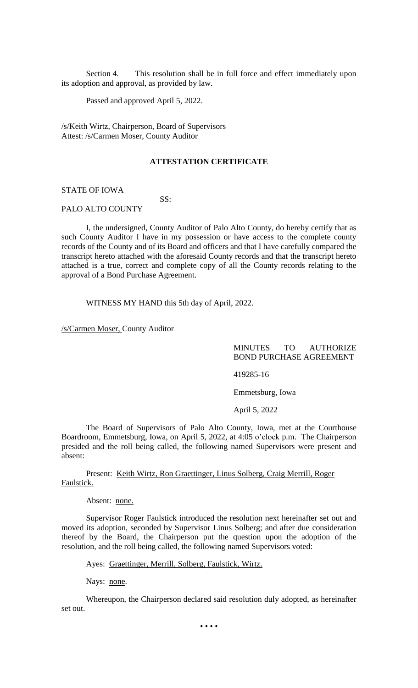Section 4. This resolution shall be in full force and effect immediately upon its adoption and approval, as provided by law.

Passed and approved April 5, 2022.

/s/Keith Wirtz, Chairperson, Board of Supervisors Attest: /s/Carmen Moser, County Auditor

## **ATTESTATION CERTIFICATE**

STATE OF IOWA

### PALO ALTO COUNTY

I, the undersigned, County Auditor of Palo Alto County, do hereby certify that as such County Auditor I have in my possession or have access to the complete county records of the County and of its Board and officers and that I have carefully compared the transcript hereto attached with the aforesaid County records and that the transcript hereto attached is a true, correct and complete copy of all the County records relating to the approval of a Bond Purchase Agreement.

WITNESS MY HAND this 5th day of April, 2022.

SS:

/s/Carmen Moser, County Auditor

MINUTES TO AUTHORIZE BOND PURCHASE AGREEMENT

419285-16

Emmetsburg, Iowa

April 5, 2022

The Board of Supervisors of Palo Alto County, Iowa, met at the Courthouse Boardroom, Emmetsburg, Iowa, on April 5, 2022, at 4:05 o'clock p.m. The Chairperson presided and the roll being called, the following named Supervisors were present and absent:

Present: Keith Wirtz, Ron Graettinger, Linus Solberg, Craig Merrill, Roger Faulstick.

Absent: none.

Supervisor Roger Faulstick introduced the resolution next hereinafter set out and moved its adoption, seconded by Supervisor Linus Solberg; and after due consideration thereof by the Board, the Chairperson put the question upon the adoption of the resolution, and the roll being called, the following named Supervisors voted:

Ayes: Graettinger, Merrill, Solberg, Faulstick, Wirtz.

Nays: none.

Whereupon, the Chairperson declared said resolution duly adopted, as hereinafter set out.

• • • •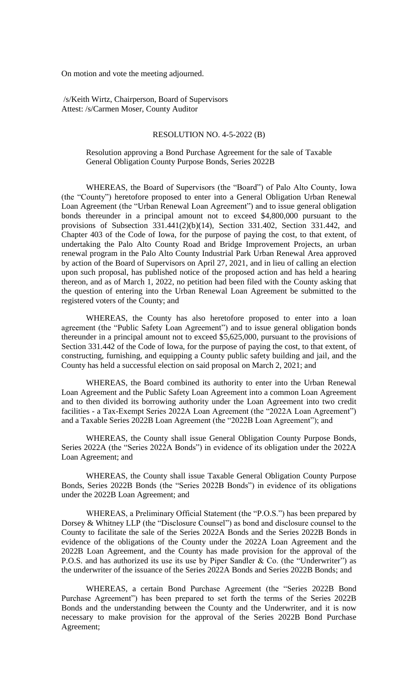On motion and vote the meeting adjourned.

/s/Keith Wirtz, Chairperson, Board of Supervisors Attest: /s/Carmen Moser, County Auditor

#### RESOLUTION NO. 4-5-2022 (B)

## Resolution approving a Bond Purchase Agreement for the sale of Taxable General Obligation County Purpose Bonds, Series 2022B

WHEREAS, the Board of Supervisors (the "Board") of Palo Alto County, Iowa (the "County") heretofore proposed to enter into a General Obligation Urban Renewal Loan Agreement (the "Urban Renewal Loan Agreement") and to issue general obligation bonds thereunder in a principal amount not to exceed \$4,800,000 pursuant to the provisions of Subsection 331.441(2)(b)(14), Section 331.402, Section 331.442, and Chapter 403 of the Code of Iowa, for the purpose of paying the cost, to that extent, of undertaking the Palo Alto County Road and Bridge Improvement Projects, an urban renewal program in the Palo Alto County Industrial Park Urban Renewal Area approved by action of the Board of Supervisors on April 27, 2021, and in lieu of calling an election upon such proposal, has published notice of the proposed action and has held a hearing thereon, and as of March 1, 2022, no petition had been filed with the County asking that the question of entering into the Urban Renewal Loan Agreement be submitted to the registered voters of the County; and

WHEREAS, the County has also heretofore proposed to enter into a loan agreement (the "Public Safety Loan Agreement") and to issue general obligation bonds thereunder in a principal amount not to exceed \$5,625,000, pursuant to the provisions of Section 331.442 of the Code of Iowa, for the purpose of paying the cost, to that extent, of constructing, furnishing, and equipping a County public safety building and jail, and the County has held a successful election on said proposal on March 2, 2021; and

WHEREAS, the Board combined its authority to enter into the Urban Renewal Loan Agreement and the Public Safety Loan Agreement into a common Loan Agreement and to then divided its borrowing authority under the Loan Agreement into two credit facilities - a Tax-Exempt Series 2022A Loan Agreement (the "2022A Loan Agreement") and a Taxable Series 2022B Loan Agreement (the "2022B Loan Agreement"); and

WHEREAS, the County shall issue General Obligation County Purpose Bonds, Series 2022A (the "Series 2022A Bonds") in evidence of its obligation under the 2022A Loan Agreement; and

WHEREAS, the County shall issue Taxable General Obligation County Purpose Bonds, Series 2022B Bonds (the "Series 2022B Bonds") in evidence of its obligations under the 2022B Loan Agreement; and

WHEREAS, a Preliminary Official Statement (the "P.O.S.") has been prepared by Dorsey & Whitney LLP (the "Disclosure Counsel") as bond and disclosure counsel to the County to facilitate the sale of the Series 2022A Bonds and the Series 2022B Bonds in evidence of the obligations of the County under the 2022A Loan Agreement and the 2022B Loan Agreement, and the County has made provision for the approval of the P.O.S. and has authorized its use its use by Piper Sandler & Co. (the "Underwriter") as the underwriter of the issuance of the Series 2022A Bonds and Series 2022B Bonds; and

WHEREAS, a certain Bond Purchase Agreement (the "Series 2022B Bond Purchase Agreement") has been prepared to set forth the terms of the Series 2022B Bonds and the understanding between the County and the Underwriter, and it is now necessary to make provision for the approval of the Series 2022B Bond Purchase Agreement;